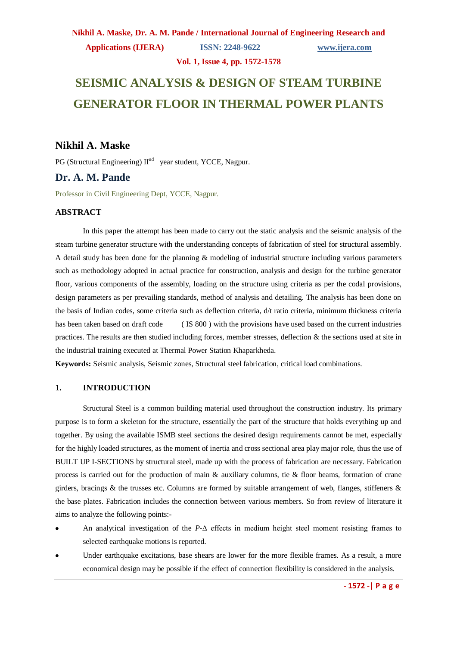## **Nikhil A. Maske, Dr. A. M. Pande / International Journal of Engineering Research and Applications (IJERA) ISSN: 2248-9622 www.ijera.com**

**Vol. 1, Issue 4, pp. 1572-1578**

# **SEISMIC ANALYSIS & DESIGN OF STEAM TURBINE GENERATOR FLOOR IN THERMAL POWER PLANTS**

## **Nikhil A. Maske**

PG (Structural Engineering)  $II<sup>nd</sup>$  year student, YCCE, Nagpur.

## **Dr. A. M. Pande**

Professor in Civil Engineering Dept, YCCE, Nagpur.

#### **ABSTRACT**

In this paper the attempt has been made to carry out the static analysis and the seismic analysis of the steam turbine generator structure with the understanding concepts of fabrication of steel for structural assembly. A detail study has been done for the planning & modeling of industrial structure including various parameters such as methodology adopted in actual practice for construction, analysis and design for the turbine generator floor, various components of the assembly, loading on the structure using criteria as per the codal provisions, design parameters as per prevailing standards, method of analysis and detailing. The analysis has been done on the basis of Indian codes, some criteria such as deflection criteria, d/t ratio criteria, minimum thickness criteria has been taken based on draft code (IS 800) with the provisions have used based on the current industries practices. The results are then studied including forces, member stresses, deflection & the sections used at site in the industrial training executed at Thermal Power Station Khaparkheda.

**Keywords:** Seismic analysis, Seismic zones, Structural steel fabrication, critical load combinations.

#### **1. INTRODUCTION**

Structural Steel is a common building material used throughout the construction industry. Its primary purpose is to form a skeleton for the structure, essentially the part of the structure that holds everything up and together. By using the available ISMB steel sections the desired design requirements cannot be met, especially for the highly loaded structures, as the moment of inertia and cross sectional area play major role, thus the use of BUILT UP I-SECTIONS by structural steel, made up with the process of fabrication are necessary. Fabrication process is carried out for the production of main & auxiliary columns, tie & floor beams, formation of crane girders, bracings & the trusses etc. Columns are formed by suitable arrangement of web, flanges, stiffeners  $\&$ the base plates. Fabrication includes the connection between various members. So from review of literature it aims to analyze the following points:-

- An analytical investigation of the *P*-Δ effects in medium height steel moment resisting frames to selected earthquake motions is reported.
- Under earthquake excitations, base shears are lower for the more flexible frames. As a result, a more economical design may be possible if the effect of connection flexibility is considered in the analysis.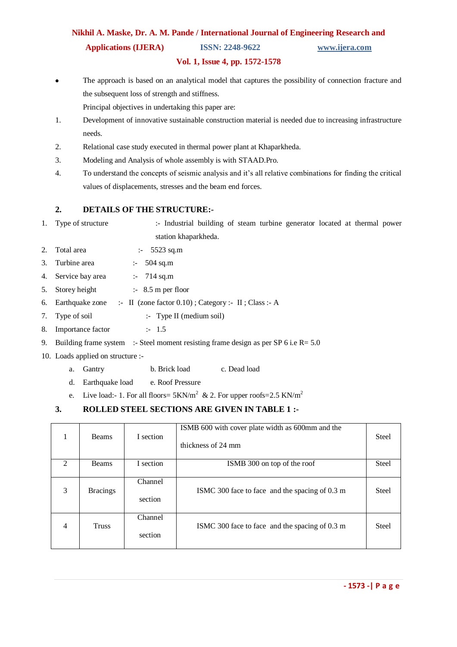## **Nikhil A. Maske, Dr. A. M. Pande / International Journal of Engineering Research and Applications (IJERA) ISSN: 2248-9622 www.ijera.com**

#### **Vol. 1, Issue 4, pp. 1572-1578**

The approach is based on an analytical model that captures the possibility of connection fracture and the subsequent loss of strength and stiffness.

Principal objectives in undertaking this paper are:

- 1. Development of innovative sustainable construction material is needed due to increasing infrastructure needs.
- 2. Relational case study executed in thermal power plant at Khaparkheda.
- 3. Modeling and Analysis of whole assembly is with STAAD.Pro.
- 4. To understand the concepts of seismic analysis and it's all relative combinations for finding the critical values of displacements, stresses and the beam end forces.

#### **2. DETAILS OF THE STRUCTURE:-**

- 1. Type of structure :- Industrial building of steam turbine generator located at thermal power station khaparkheda.
- 2. Total area :- 5523 sq.m
- 3. Turbine area :- 504 sq.m
- 4. Service bay area :- 714 sq.m
- 5. Storey height :- 8.5 m per floor
- 6. Earthquake zone :- II (zone factor 0.10) ; Category :- II ; Class :- A
- 7. Type of soil :- Type II (medium soil)
- 8. Importance factor :- 1.5
- 9. Building frame system :- Steel moment resisting frame design as per SP 6 i.e  $R = 5.0$
- 10. Loads applied on structure :
	- a. Gantry b. Brick load c. Dead load
	- d. Earthquake load e. Roof Pressure
	- e. Live load:- 1. For all floors=  $5KN/m^2$  & 2. For upper roofs=2.5 KN/m<sup>2</sup>

## **3. ROLLED STEEL SECTIONS ARE GIVEN IN TABLE 1 :-**

| 1                           | <b>Beams</b>    | I section          | ISMB 600 with cover plate width as 600mm and the<br>thickness of 24 mm | <b>Steel</b> |
|-----------------------------|-----------------|--------------------|------------------------------------------------------------------------|--------------|
| $\mathcal{D}_{\mathcal{L}}$ | Beams           | I section          | ISMB 300 on top of the roof                                            | <b>Steel</b> |
| 3                           | <b>Bracings</b> | Channel<br>section | ISMC 300 face to face and the spacing of 0.3 m                         | <b>Steel</b> |
| $\overline{4}$              | <b>Truss</b>    | Channel<br>section | ISMC 300 face to face and the spacing of 0.3 m                         | <b>Steel</b> |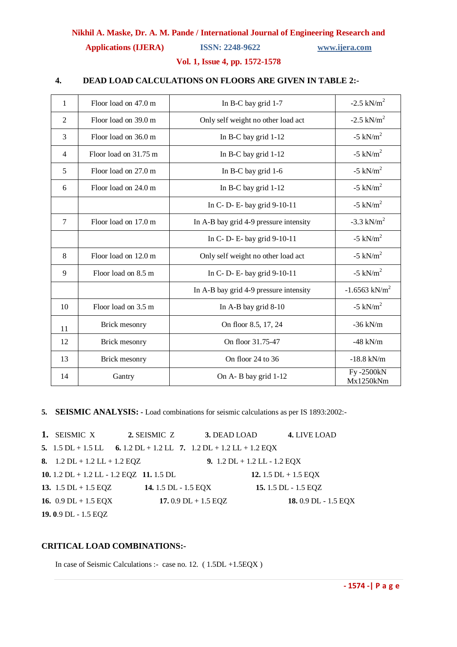**Applications (IJERA) ISSN: 2248-9622 www.ijera.com**

#### **Vol. 1, Issue 4, pp. 1572-1578**

#### **4. DEAD LOAD CALCULATIONS ON FLOORS ARE GIVEN IN TABLE 2:-**

| 1              | Floor load on 47.0 m                                       | In B-C bay grid 1-7                            | $-2.5$ kN/m <sup>2</sup>    |
|----------------|------------------------------------------------------------|------------------------------------------------|-----------------------------|
| $\overline{2}$ | Floor load on 39.0 m                                       | Only self weight no other load act             | $-2.5$ kN/m <sup>2</sup>    |
| 3              | Floor load on 36.0 m                                       | In B-C bay grid $1-12$                         | $-5$ kN/m <sup>2</sup>      |
| $\overline{4}$ | Floor load on 31.75 m                                      | In B-C bay grid $1-12$                         | $-5$ kN/m <sup>2</sup>      |
| 5              | Floor load on 27.0 m                                       | In B-C bay grid 1-6                            | $-5$ kN/m <sup>2</sup>      |
| 6              | Floor load on 24.0 m                                       | In B-C bay grid $1-12$                         | $-5$ kN/m <sup>2</sup>      |
|                |                                                            | In C-D-E-bay grid 9-10-11                      | $-5$ kN/m <sup>2</sup>      |
| $\overline{7}$ | Floor load on 17.0 m                                       | In A-B bay grid 4-9 pressure intensity         | $-3.3$ kN/m <sup>2</sup>    |
|                |                                                            | In C-D-E-bay grid 9-10-11                      | $-5$ kN/m <sup>2</sup>      |
| 8              | Floor load on 12.0 m<br>Only self weight no other load act |                                                | $-5$ kN/m <sup>2</sup>      |
| 9              | Floor load on 8.5 m                                        | In C-D-E-bay grid 9-10-11                      | $-5$ kN/m <sup>2</sup>      |
|                |                                                            | In A-B bay grid 4-9 pressure intensity         | $-1.6563$ kN/m <sup>2</sup> |
| 10             | Floor load on 3.5 m                                        | In A-B bay grid $8-10$                         | -5 kN/ $m^2$                |
| 11             | Brick mesonry<br>On floor 8.5, 17, 24                      |                                                | $-36$ kN/m                  |
| 12             | Brick mesonry                                              | On floor 31.75-47<br>$-48$ kN/m                |                             |
| 13             | Brick mesonry                                              | On floor 24 to 36<br>$-18.8$ kN/m              |                             |
| 14             | Gantry                                                     | Fy-2500kN<br>On A-B bay grid 1-12<br>Mx1250kNm |                             |

**5. SEISMIC ANALYSIS: -** Load combinations for seismic calculations as per IS 1893:2002:-

**1.** SEISMIC X **2.** SEISMIC Z **3.** DEAD LOAD **4.** LIVE LOAD **5.** 1.5 DL + 1.5 LL **6.** 1.2 DL + 1.2 LL **7.** 1.2 DL + 1.2 LL + 1.2 EQX **8.** 1.2 DL + 1.2 LL + 1.2 EQZ **9.** 1.2 DL + 1.2 LL - 1.2 EQX **10.** 1.2 DL + 1.2 LL - 1.2 EQZ **11.** 1.5 DL **12.** 1.5 DL + 1.5 EQX **13.** 1.5 DL + 1.5 EQZ **14.** 1.5 DL - 1.5 EQX **15.** 1.5 DL - 1.5 EQZ **16.** 0.9 DL + 1.5 EQX **17.** 0.9 DL + 1.5 EQZ **18.** 0.9 DL - 1.5 EQX **19. 0**.9 DL - 1.5 EQZ

#### **CRITICAL LOAD COMBINATIONS:-**

In case of Seismic Calculations :- case no. 12. ( 1.5DL +1.5EQX )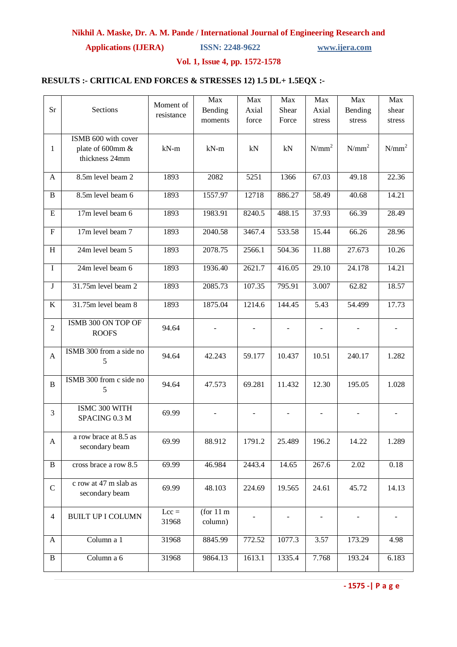**Applications (IJERA) ISSN: 2248-9622 www.ijera.com**

#### **Vol. 1, Issue 4, pp. 1572-1578**

### **RESULTS :- CRITICAL END FORCES & STRESSES 12) 1.5 DL+ 1.5EQX :-**

|                |                          |            | Max                 | Max    | Max    | Max               | Max      | Max      |
|----------------|--------------------------|------------|---------------------|--------|--------|-------------------|----------|----------|
| Sr             | Sections                 | Moment of  | Bending             | Axial  | Shear  | Axial             | Bending  | shear    |
|                |                          | resistance | moments             | force  | Force  | stress            | stress   | stress   |
|                |                          |            |                     |        |        |                   |          |          |
|                | ISMB 600 with cover      |            |                     |        |        |                   |          |          |
| $\mathbf{1}$   | plate of 600mm &         | $kN-m$     | $kN-m$              | kN     | kN     | $N/mm^2$          | $N/mm^2$ | $N/mm^2$ |
|                | thickness 24mm           |            |                     |        |        |                   |          |          |
|                |                          |            |                     |        |        |                   |          |          |
| A              | 8.5m level beam 2        | 1893       | 2082                | 5251   | 1366   | 67.03             | 49.18    | 22.36    |
| B              | 8.5m level beam 6        | 1893       | 1557.97             | 12718  | 886.27 | 58.49             | 40.68    | 14.21    |
|                |                          |            |                     |        |        |                   |          |          |
| E              | 17m level beam 6         | 1893       | 1983.91             | 8240.5 | 488.15 | 37.93             | 66.39    | 28.49    |
|                |                          |            |                     |        |        |                   |          |          |
| ${\bf F}$      | 17m level beam 7         | 1893       | 2040.58             | 3467.4 | 533.58 | 15.44             | 66.26    | 28.96    |
|                |                          |            |                     |        |        |                   |          |          |
| H              | 24m level beam 5         | 1893       | 2078.75             | 2566.1 | 504.36 | 11.88             | 27.673   | 10.26    |
|                | 24m level beam 6         |            |                     |        |        |                   |          |          |
| $\mathbf I$    |                          | 1893       | 1936.40             | 2621.7 | 416.05 | 29.10             | 24.178   | 14.21    |
| J              | 31.75m level beam 2      | 1893       | 2085.73             | 107.35 | 795.91 | 3.007             | 62.82    | 18.57    |
|                |                          |            |                     |        |        |                   |          |          |
| K              | 31.75m level beam 8      | 1893       | 1875.04             | 1214.6 | 144.45 | $\overline{5.43}$ | 54.499   | 17.73    |
|                |                          |            |                     |        |        |                   |          |          |
| $\overline{2}$ | ISMB 300 ON TOP OF       | 94.64      |                     |        |        |                   |          |          |
|                | <b>ROOFS</b>             |            |                     |        |        |                   |          |          |
|                |                          |            |                     |        |        |                   |          |          |
| A              | ISMB 300 from a side no  | 94.64      | 42.243              | 59.177 | 10.437 | 10.51             | 240.17   | 1.282    |
|                | 5                        |            |                     |        |        |                   |          |          |
|                |                          |            |                     |        |        |                   |          |          |
| $\, {\bf B}$   | ISMB 300 from c side no  | 94.64      | 47.573              | 69.281 | 11.432 | 12.30             | 195.05   | 1.028    |
|                | 5                        |            |                     |        |        |                   |          |          |
|                | ISMC 300 WITH            |            |                     |        |        |                   |          |          |
| 3              | SPACING 0.3 M            | 69.99      |                     |        |        |                   |          |          |
|                |                          |            |                     |        |        |                   |          |          |
|                | a row brace at 8.5 as    |            |                     |        |        |                   |          |          |
| A              | secondary beam           | 69.99      | 88.912              | 1791.2 | 25.489 | 196.2             | 14.22    | 1.289    |
|                |                          |            |                     |        |        |                   |          |          |
| $\, {\bf B}$   | cross brace a row 8.5    | 69.99      | 46.984              | 2443.4 | 14.65  | 267.6             | 2.02     | 0.18     |
|                |                          |            |                     |        |        |                   |          |          |
| $\mathbf C$    | c row at 47 m slab as    | 69.99      | 48.103              | 224.69 | 19.565 | 24.61             | 45.72    | 14.13    |
|                | secondary beam           |            |                     |        |        |                   |          |          |
|                |                          |            |                     |        |        |                   |          |          |
| $\overline{4}$ | <b>BUILT UP I COLUMN</b> | $Lcc =$    | (for $11 \text{ m}$ |        |        |                   |          |          |
|                |                          | 31968      | column)             |        |        |                   |          |          |
| A              | Column a $1$             | 31968      | 8845.99             | 772.52 | 1077.3 | $\overline{3.57}$ | 173.29   | 4.98     |
|                |                          |            |                     |        |        |                   |          |          |
| $\bf{B}$       | Column a 6               | 31968      | 9864.13             | 1613.1 | 1335.4 | 7.768             | 193.24   | 6.183    |
|                |                          |            |                     |        |        |                   |          |          |

**- 1575 -| P a g e**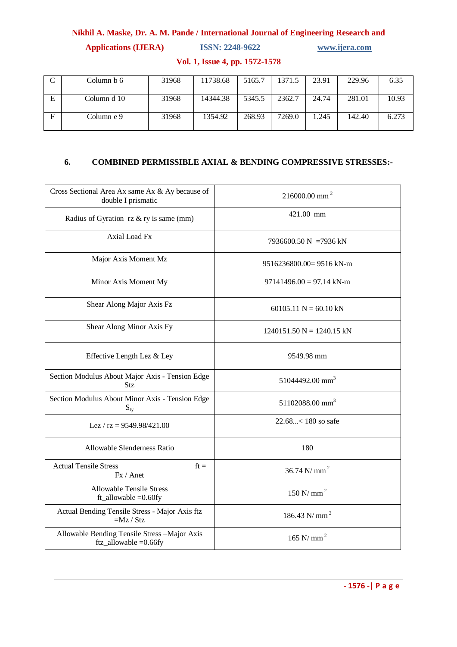**Applications (IJERA) ISSN: 2248-9622 www.ijera.com**

|   | Column b 6  | 31968 | 11738.68 | 5165.7 | 1371.5 | 23.91 | 229.96 | 6.35  |
|---|-------------|-------|----------|--------|--------|-------|--------|-------|
| E | Column d 10 | 31968 | 14344.38 | 5345.5 | 2362.7 | 24.74 | 281.01 | 10.93 |
| F | Column e 9  | 31968 | 1354.92  | 268.93 | 7269.0 | 1.245 | 142.40 | 6.273 |

**Vol. 1, Issue 4, pp. 1572-1578**

## **6. COMBINED PERMISSIBLE AXIAL & BENDING COMPRESSIVE STRESSES:-**

| Cross Sectional Area Ax same Ax & Ay because of<br>double I prismatic     | $216000.00$ mm <sup>2</sup> |  |  |  |  |
|---------------------------------------------------------------------------|-----------------------------|--|--|--|--|
| Radius of Gyration rz & ry is same (mm)                                   | 421.00 mm                   |  |  |  |  |
| Axial Load Fx                                                             | 7936600.50 N = 7936 kN      |  |  |  |  |
| Major Axis Moment Mz                                                      | $9516236800.00=9516$ kN-m   |  |  |  |  |
| Minor Axis Moment My                                                      | $97141496.00 = 97.14$ kN-m  |  |  |  |  |
| Shear Along Major Axis Fz                                                 | $60105.11$ N = 60.10 kN     |  |  |  |  |
| Shear Along Minor Axis Fy                                                 | $1240151.50 N = 1240.15 kN$ |  |  |  |  |
| Effective Length Lez & Ley                                                | 9549.98 mm                  |  |  |  |  |
| Section Modulus About Major Axis - Tension Edge<br>Stz                    | 51044492.00 mm <sup>3</sup> |  |  |  |  |
| Section Modulus About Minor Axis - Tension Edge<br>$S_{ty}$               | 51102088.00 mm <sup>3</sup> |  |  |  |  |
| Lez / $rz = 9549.98/421.00$                                               | 22.68< 180 so safe          |  |  |  |  |
| Allowable Slenderness Ratio                                               | 180                         |  |  |  |  |
| <b>Actual Tensile Stress</b><br>$ft =$<br>Fx / Anet                       | 36.74 N/ mm <sup>2</sup>    |  |  |  |  |
| <b>Allowable Tensile Stress</b><br>$ft_$ allowable = $0.60$ fy            | $150$ N/mm <sup>2</sup>     |  |  |  |  |
| Actual Bending Tensile Stress - Major Axis ftz<br>$=Mz / Stz$             | 186.43 N/ mm <sup>2</sup>   |  |  |  |  |
| Allowable Bending Tensile Stress -Major Axis<br>$ftz_$ allowable = 0.66fy | 165 N/mm <sup>2</sup>       |  |  |  |  |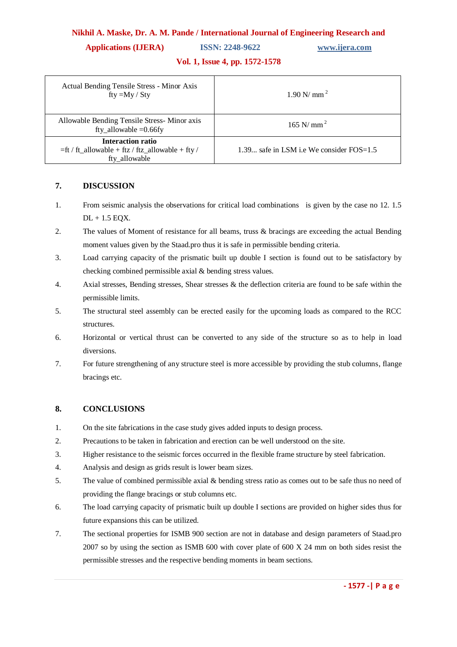#### **Applications (IJERA) ISSN: 2248-9622 www.ijera.com**

#### **Vol. 1, Issue 4, pp. 1572-1578**

| <b>Actual Bending Tensile Stress - Minor Axis</b><br>fty $=My / Sty$                   | $1.90$ N/ mm <sup>2</sup>                  |  |  |  |
|----------------------------------------------------------------------------------------|--------------------------------------------|--|--|--|
| Allowable Bending Tensile Stress-Minor axis<br>fty_allowable $=0.66$ fy                | $165$ N/ mm <sup>2</sup>                   |  |  |  |
| Interaction ratio<br>=ft / ft_allowable + ftz / ftz_allowable + fty /<br>fty allowable | 1.39 safe in LSM i.e We consider $FOS=1.5$ |  |  |  |

#### **7. DISCUSSION**

- 1. From seismic analysis the observations for critical load combinations is given by the case no 12. 1.5  $DL + 1.5$  EQX.
- 2. The values of Moment of resistance for all beams, truss & bracings are exceeding the actual Bending moment values given by the Staad.pro thus it is safe in permissible bending criteria.
- 3. Load carrying capacity of the prismatic built up double I section is found out to be satisfactory by checking combined permissible axial & bending stress values.
- 4. Axial stresses, Bending stresses, Shear stresses & the deflection criteria are found to be safe within the permissible limits.
- 5. The structural steel assembly can be erected easily for the upcoming loads as compared to the RCC structures.
- 6. Horizontal or vertical thrust can be converted to any side of the structure so as to help in load diversions.
- 7. For future strengthening of any structure steel is more accessible by providing the stub columns, flange bracings etc.

#### **8. CONCLUSIONS**

- 1. On the site fabrications in the case study gives added inputs to design process.
- 2. Precautions to be taken in fabrication and erection can be well understood on the site.
- 3. Higher resistance to the seismic forces occurred in the flexible frame structure by steel fabrication.
- 4. Analysis and design as grids result is lower beam sizes.
- 5. The value of combined permissible axial & bending stress ratio as comes out to be safe thus no need of providing the flange bracings or stub columns etc.
- 6. The load carrying capacity of prismatic built up double I sections are provided on higher sides thus for future expansions this can be utilized.
- 7. The sectional properties for ISMB 900 section are not in database and design parameters of Staad.pro 2007 so by using the section as ISMB 600 with cover plate of 600 X 24 mm on both sides resist the permissible stresses and the respective bending moments in beam sections.